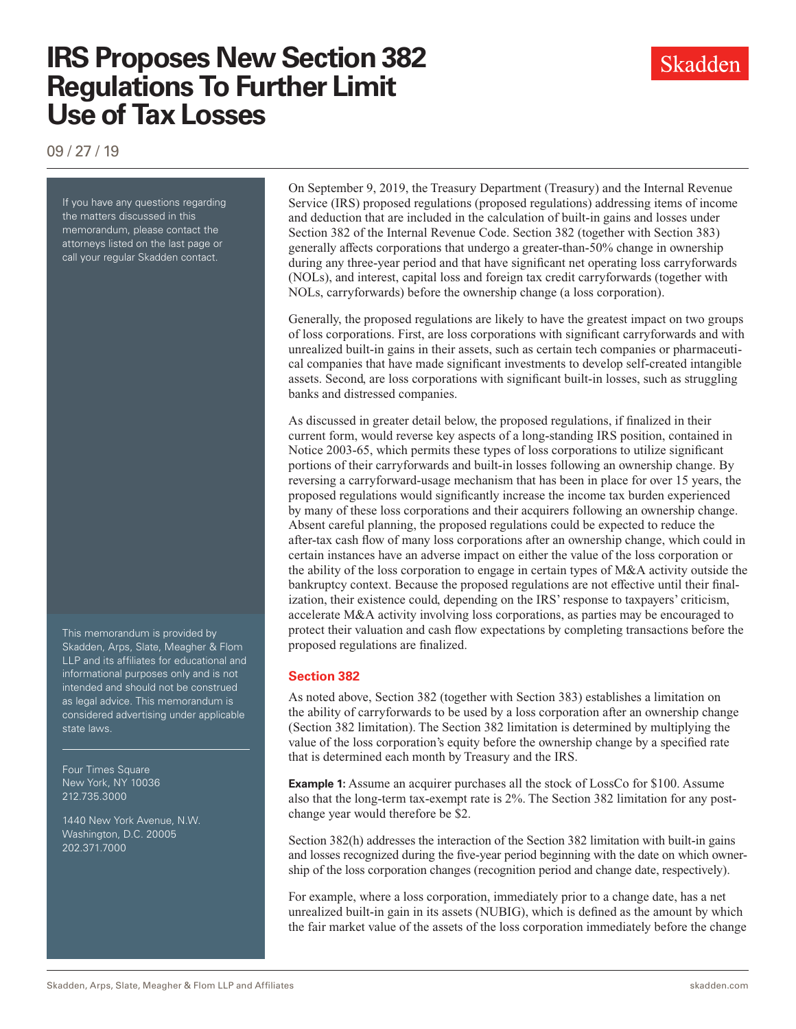Skadden

09 / 27 / 19

If you have any questions regarding the matters discussed in this memorandum, please contact the attorneys listed on the last page or call your regular Skadden contact.

This memorandum is provided by Skadden, Arps, Slate, Meagher & Flom LLP and its affiliates for educational and informational purposes only and is not intended and should not be construed as legal advice. This memorandum is considered advertising under applicable state laws.

Four Times Square New York, NY 10036 212.735.3000

1440 New York Avenue, N.W. Washington, D.C. 20005 202.371.7000

On September 9, 2019, the Treasury Department (Treasury) and the Internal Revenue Service (IRS) proposed regulations (proposed regulations) addressing items of income and deduction that are included in the calculation of built-in gains and losses under Section 382 of the Internal Revenue Code. Section 382 (together with Section 383) generally affects corporations that undergo a greater-than-50% change in ownership during any three-year period and that have significant net operating loss carryforwards (NOLs), and interest, capital loss and foreign tax credit carryforwards (together with NOLs, carryforwards) before the ownership change (a loss corporation).

Generally, the proposed regulations are likely to have the greatest impact on two groups of loss corporations. First, are loss corporations with significant carryforwards and with unrealized built-in gains in their assets, such as certain tech companies or pharmaceutical companies that have made significant investments to develop self-created intangible assets. Second, are loss corporations with significant built-in losses, such as struggling banks and distressed companies.

As discussed in greater detail below, the proposed regulations, if finalized in their current form, would reverse key aspects of a long-standing IRS position, contained in Notice 2003-65, which permits these types of loss corporations to utilize significant portions of their carryforwards and built-in losses following an ownership change. By reversing a carryforward-usage mechanism that has been in place for over 15 years, the proposed regulations would significantly increase the income tax burden experienced by many of these loss corporations and their acquirers following an ownership change. Absent careful planning, the proposed regulations could be expected to reduce the after-tax cash flow of many loss corporations after an ownership change, which could in certain instances have an adverse impact on either the value of the loss corporation or the ability of the loss corporation to engage in certain types of M&A activity outside the bankruptcy context. Because the proposed regulations are not effective until their finalization, their existence could, depending on the IRS' response to taxpayers' criticism, accelerate M&A activity involving loss corporations, as parties may be encouraged to protect their valuation and cash flow expectations by completing transactions before the proposed regulations are finalized.

#### **Section 382**

As noted above, Section 382 (together with Section 383) establishes a limitation on the ability of carryforwards to be used by a loss corporation after an ownership change (Section 382 limitation). The Section 382 limitation is determined by multiplying the value of the loss corporation's equity before the ownership change by a specified rate that is determined each month by Treasury and the IRS.

**Example 1:** Assume an acquirer purchases all the stock of LossCo for \$100. Assume also that the long-term tax-exempt rate is 2%. The Section 382 limitation for any postchange year would therefore be \$2.

Section 382(h) addresses the interaction of the Section 382 limitation with built-in gains and losses recognized during the five-year period beginning with the date on which ownership of the loss corporation changes (recognition period and change date, respectively).

For example, where a loss corporation, immediately prior to a change date, has a net unrealized built-in gain in its assets (NUBIG), which is defined as the amount by which the fair market value of the assets of the loss corporation immediately before the change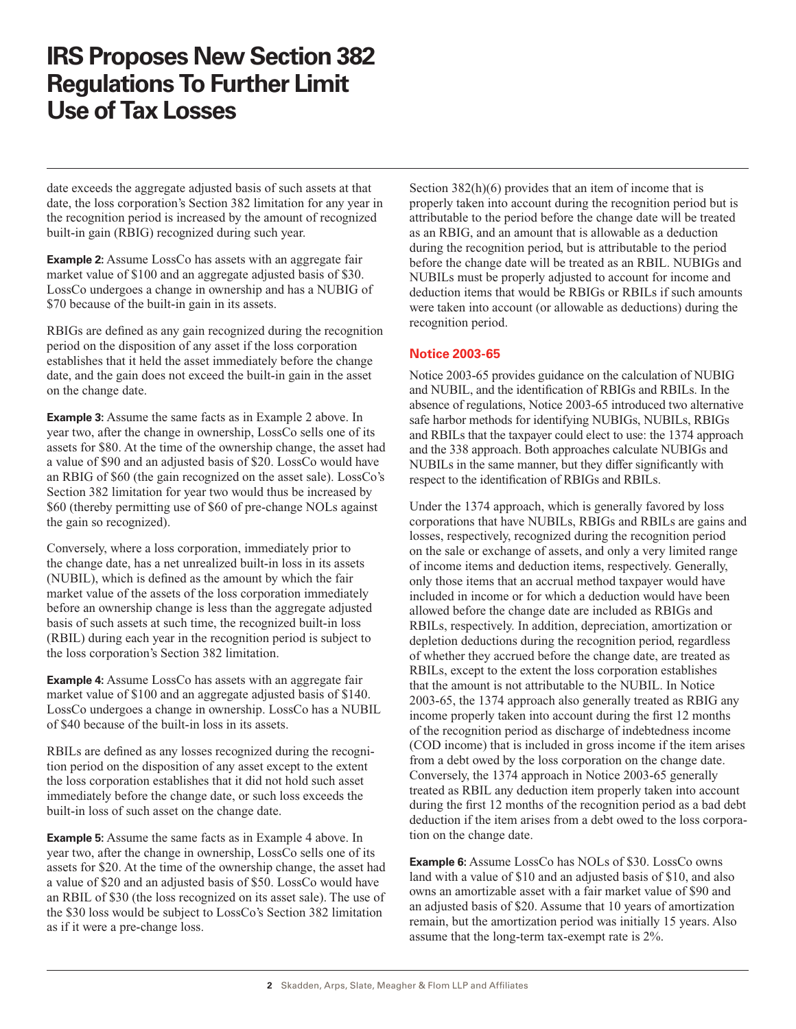date exceeds the aggregate adjusted basis of such assets at that date, the loss corporation's Section 382 limitation for any year in the recognition period is increased by the amount of recognized built-in gain (RBIG) recognized during such year.

**Example 2:** Assume LossCo has assets with an aggregate fair market value of \$100 and an aggregate adjusted basis of \$30. LossCo undergoes a change in ownership and has a NUBIG of \$70 because of the built-in gain in its assets.

RBIGs are defined as any gain recognized during the recognition period on the disposition of any asset if the loss corporation establishes that it held the asset immediately before the change date, and the gain does not exceed the built-in gain in the asset on the change date.

**Example 3:** Assume the same facts as in Example 2 above. In year two, after the change in ownership, LossCo sells one of its assets for \$80. At the time of the ownership change, the asset had a value of \$90 and an adjusted basis of \$20. LossCo would have an RBIG of \$60 (the gain recognized on the asset sale). LossCo's Section 382 limitation for year two would thus be increased by \$60 (thereby permitting use of \$60 of pre-change NOLs against the gain so recognized).

Conversely, where a loss corporation, immediately prior to the change date, has a net unrealized built-in loss in its assets (NUBIL), which is defined as the amount by which the fair market value of the assets of the loss corporation immediately before an ownership change is less than the aggregate adjusted basis of such assets at such time, the recognized built-in loss (RBIL) during each year in the recognition period is subject to the loss corporation's Section 382 limitation.

**Example 4:** Assume LossCo has assets with an aggregate fair market value of \$100 and an aggregate adjusted basis of \$140. LossCo undergoes a change in ownership. LossCo has a NUBIL of \$40 because of the built-in loss in its assets.

RBILs are defined as any losses recognized during the recognition period on the disposition of any asset except to the extent the loss corporation establishes that it did not hold such asset immediately before the change date, or such loss exceeds the built-in loss of such asset on the change date.

**Example 5:** Assume the same facts as in Example 4 above. In year two, after the change in ownership, LossCo sells one of its assets for \$20. At the time of the ownership change, the asset had a value of \$20 and an adjusted basis of \$50. LossCo would have an RBIL of \$30 (the loss recognized on its asset sale). The use of the \$30 loss would be subject to LossCo's Section 382 limitation as if it were a pre-change loss.

Section 382(h)(6) provides that an item of income that is properly taken into account during the recognition period but is attributable to the period before the change date will be treated as an RBIG, and an amount that is allowable as a deduction during the recognition period, but is attributable to the period before the change date will be treated as an RBIL. NUBIGs and NUBILs must be properly adjusted to account for income and deduction items that would be RBIGs or RBILs if such amounts were taken into account (or allowable as deductions) during the recognition period.

### **Notice 2003-65**

Notice 2003-65 provides guidance on the calculation of NUBIG and NUBIL, and the identification of RBIGs and RBILs. In the absence of regulations, Notice 2003-65 introduced two alternative safe harbor methods for identifying NUBIGs, NUBILs, RBIGs and RBILs that the taxpayer could elect to use: the 1374 approach and the 338 approach. Both approaches calculate NUBIGs and NUBILs in the same manner, but they differ significantly with respect to the identification of RBIGs and RBILs.

Under the 1374 approach, which is generally favored by loss corporations that have NUBILs, RBIGs and RBILs are gains and losses, respectively, recognized during the recognition period on the sale or exchange of assets, and only a very limited range of income items and deduction items, respectively. Generally, only those items that an accrual method taxpayer would have included in income or for which a deduction would have been allowed before the change date are included as RBIGs and RBILs, respectively. In addition, depreciation, amortization or depletion deductions during the recognition period, regardless of whether they accrued before the change date, are treated as RBILs, except to the extent the loss corporation establishes that the amount is not attributable to the NUBIL. In Notice 2003-65, the 1374 approach also generally treated as RBIG any income properly taken into account during the first 12 months of the recognition period as discharge of indebtedness income (COD income) that is included in gross income if the item arises from a debt owed by the loss corporation on the change date. Conversely, the 1374 approach in Notice 2003-65 generally treated as RBIL any deduction item properly taken into account during the first 12 months of the recognition period as a bad debt deduction if the item arises from a debt owed to the loss corporation on the change date.

**Example 6:** Assume LossCo has NOLs of \$30. LossCo owns land with a value of \$10 and an adjusted basis of \$10, and also owns an amortizable asset with a fair market value of \$90 and an adjusted basis of \$20. Assume that 10 years of amortization remain, but the amortization period was initially 15 years. Also assume that the long-term tax-exempt rate is 2%.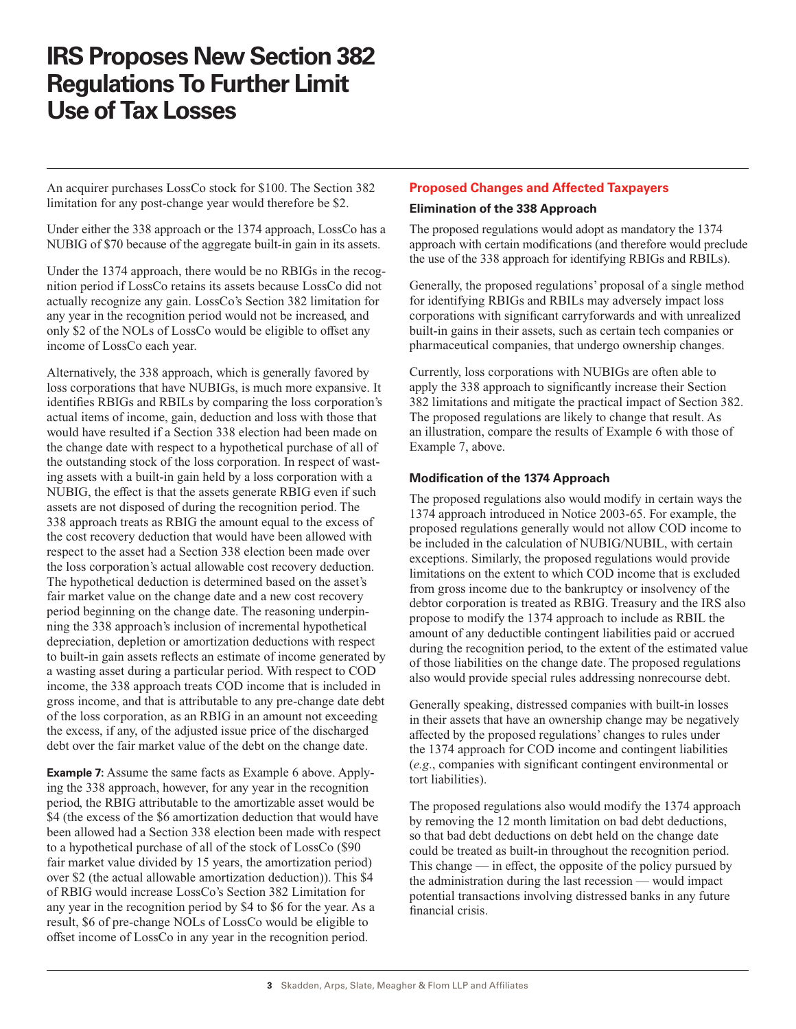An acquirer purchases LossCo stock for \$100. The Section 382 limitation for any post-change year would therefore be \$2.

Under either the 338 approach or the 1374 approach, LossCo has a NUBIG of \$70 because of the aggregate built-in gain in its assets.

Under the 1374 approach, there would be no RBIGs in the recognition period if LossCo retains its assets because LossCo did not actually recognize any gain. LossCo's Section 382 limitation for any year in the recognition period would not be increased, and only \$2 of the NOLs of LossCo would be eligible to offset any income of LossCo each year.

Alternatively, the 338 approach, which is generally favored by loss corporations that have NUBIGs, is much more expansive. It identifies RBIGs and RBILs by comparing the loss corporation's actual items of income, gain, deduction and loss with those that would have resulted if a Section 338 election had been made on the change date with respect to a hypothetical purchase of all of the outstanding stock of the loss corporation. In respect of wasting assets with a built-in gain held by a loss corporation with a NUBIG, the effect is that the assets generate RBIG even if such assets are not disposed of during the recognition period. The 338 approach treats as RBIG the amount equal to the excess of the cost recovery deduction that would have been allowed with respect to the asset had a Section 338 election been made over the loss corporation's actual allowable cost recovery deduction. The hypothetical deduction is determined based on the asset's fair market value on the change date and a new cost recovery period beginning on the change date. The reasoning underpinning the 338 approach's inclusion of incremental hypothetical depreciation, depletion or amortization deductions with respect to built-in gain assets reflects an estimate of income generated by a wasting asset during a particular period. With respect to COD income, the 338 approach treats COD income that is included in gross income, and that is attributable to any pre-change date debt of the loss corporation, as an RBIG in an amount not exceeding the excess, if any, of the adjusted issue price of the discharged debt over the fair market value of the debt on the change date.

**Example 7:** Assume the same facts as Example 6 above. Applying the 338 approach, however, for any year in the recognition period, the RBIG attributable to the amortizable asset would be \$4 (the excess of the \$6 amortization deduction that would have been allowed had a Section 338 election been made with respect to a hypothetical purchase of all of the stock of LossCo (\$90 fair market value divided by 15 years, the amortization period) over \$2 (the actual allowable amortization deduction)). This \$4 of RBIG would increase LossCo's Section 382 Limitation for any year in the recognition period by \$4 to \$6 for the year. As a result, \$6 of pre-change NOLs of LossCo would be eligible to offset income of LossCo in any year in the recognition period.

### **Proposed Changes and Affected Taxpayers Elimination of the 338 Approach**

The proposed regulations would adopt as mandatory the 1374 approach with certain modifications (and therefore would preclude the use of the 338 approach for identifying RBIGs and RBILs).

Generally, the proposed regulations' proposal of a single method for identifying RBIGs and RBILs may adversely impact loss corporations with significant carryforwards and with unrealized built-in gains in their assets, such as certain tech companies or pharmaceutical companies, that undergo ownership changes.

Currently, loss corporations with NUBIGs are often able to apply the 338 approach to significantly increase their Section 382 limitations and mitigate the practical impact of Section 382. The proposed regulations are likely to change that result. As an illustration, compare the results of Example 6 with those of Example 7, above.

### **Modification of the 1374 Approach**

The proposed regulations also would modify in certain ways the 1374 approach introduced in Notice 2003-65. For example, the proposed regulations generally would not allow COD income to be included in the calculation of NUBIG/NUBIL, with certain exceptions. Similarly, the proposed regulations would provide limitations on the extent to which COD income that is excluded from gross income due to the bankruptcy or insolvency of the debtor corporation is treated as RBIG. Treasury and the IRS also propose to modify the 1374 approach to include as RBIL the amount of any deductible contingent liabilities paid or accrued during the recognition period, to the extent of the estimated value of those liabilities on the change date. The proposed regulations also would provide special rules addressing nonrecourse debt.

Generally speaking, distressed companies with built-in losses in their assets that have an ownership change may be negatively affected by the proposed regulations' changes to rules under the 1374 approach for COD income and contingent liabilities (*e.g*., companies with significant contingent environmental or tort liabilities).

The proposed regulations also would modify the 1374 approach by removing the 12 month limitation on bad debt deductions, so that bad debt deductions on debt held on the change date could be treated as built-in throughout the recognition period. This change — in effect, the opposite of the policy pursued by the administration during the last recession — would impact potential transactions involving distressed banks in any future financial crisis.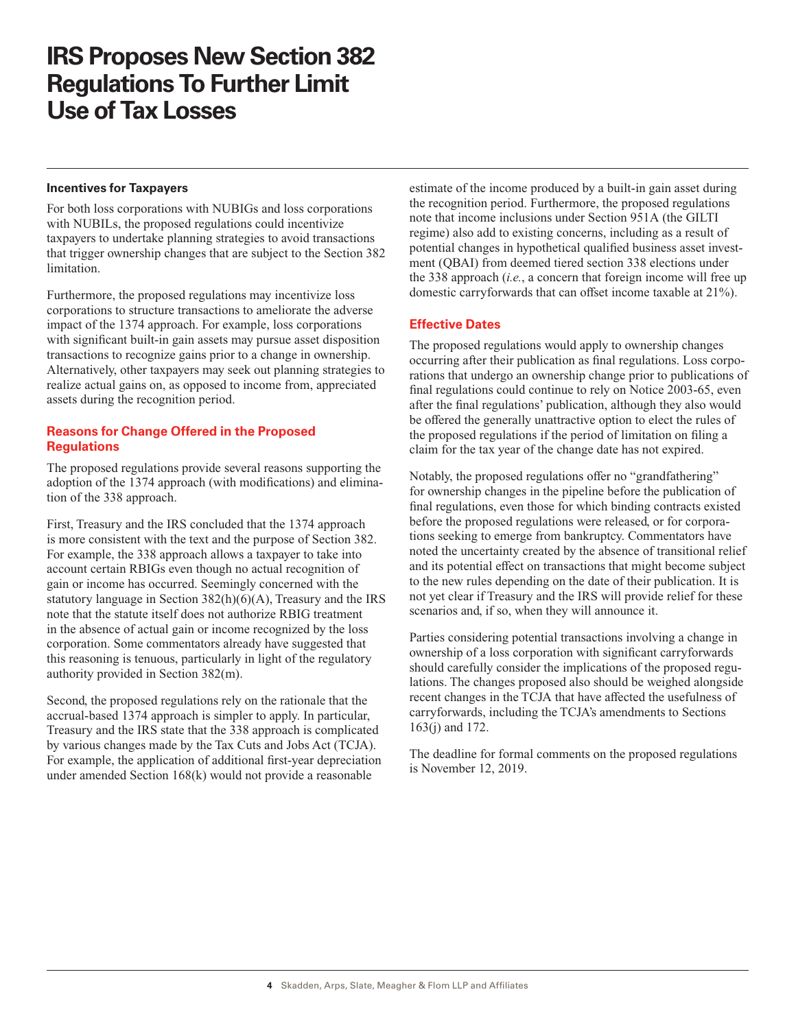#### **Incentives for Taxpayers**

For both loss corporations with NUBIGs and loss corporations with NUBILs, the proposed regulations could incentivize taxpayers to undertake planning strategies to avoid transactions that trigger ownership changes that are subject to the Section 382 limitation.

Furthermore, the proposed regulations may incentivize loss corporations to structure transactions to ameliorate the adverse impact of the 1374 approach. For example, loss corporations with significant built-in gain assets may pursue asset disposition transactions to recognize gains prior to a change in ownership. Alternatively, other taxpayers may seek out planning strategies to realize actual gains on, as opposed to income from, appreciated assets during the recognition period.

### **Reasons for Change Offered in the Proposed Regulations**

The proposed regulations provide several reasons supporting the adoption of the 1374 approach (with modifications) and elimination of the 338 approach.

First, Treasury and the IRS concluded that the 1374 approach is more consistent with the text and the purpose of Section 382. For example, the 338 approach allows a taxpayer to take into account certain RBIGs even though no actual recognition of gain or income has occurred. Seemingly concerned with the statutory language in Section 382(h)(6)(A), Treasury and the IRS note that the statute itself does not authorize RBIG treatment in the absence of actual gain or income recognized by the loss corporation. Some commentators already have suggested that this reasoning is tenuous, particularly in light of the regulatory authority provided in Section 382(m).

Second, the proposed regulations rely on the rationale that the accrual-based 1374 approach is simpler to apply. In particular, Treasury and the IRS state that the 338 approach is complicated by various changes made by the Tax Cuts and Jobs Act (TCJA). For example, the application of additional first-year depreciation under amended Section 168(k) would not provide a reasonable

estimate of the income produced by a built-in gain asset during the recognition period. Furthermore, the proposed regulations note that income inclusions under Section 951A (the GILTI regime) also add to existing concerns, including as a result of potential changes in hypothetical qualified business asset investment (QBAI) from deemed tiered section 338 elections under the 338 approach (*i.e.*, a concern that foreign income will free up domestic carryforwards that can offset income taxable at 21%).

### **Effective Dates**

The proposed regulations would apply to ownership changes occurring after their publication as final regulations. Loss corporations that undergo an ownership change prior to publications of final regulations could continue to rely on Notice 2003-65, even after the final regulations' publication, although they also would be offered the generally unattractive option to elect the rules of the proposed regulations if the period of limitation on filing a claim for the tax year of the change date has not expired.

Notably, the proposed regulations offer no "grandfathering" for ownership changes in the pipeline before the publication of final regulations, even those for which binding contracts existed before the proposed regulations were released, or for corporations seeking to emerge from bankruptcy. Commentators have noted the uncertainty created by the absence of transitional relief and its potential effect on transactions that might become subject to the new rules depending on the date of their publication. It is not yet clear if Treasury and the IRS will provide relief for these scenarios and, if so, when they will announce it.

Parties considering potential transactions involving a change in ownership of a loss corporation with significant carryforwards should carefully consider the implications of the proposed regulations. The changes proposed also should be weighed alongside recent changes in the TCJA that have affected the usefulness of carryforwards, including the TCJA's amendments to Sections 163(j) and 172.

The deadline for formal comments on the proposed regulations is November 12, 2019.